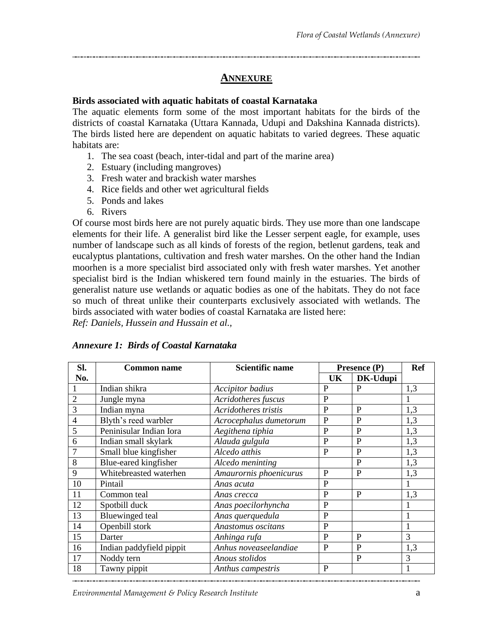## **ANNEXURE**

## **Birds associated with aquatic habitats of coastal Karnataka**

The aquatic elements form some of the most important habitats for the birds of the districts of coastal Karnataka (Uttara Kannada, Udupi and Dakshina Kannada districts). The birds listed here are dependent on aquatic habitats to varied degrees. These aquatic habitats are:

- 1. The sea coast (beach, inter-tidal and part of the marine area)
- 2. Estuary (including mangroves)
- 3. Fresh water and brackish water marshes
- 4. Rice fields and other wet agricultural fields
- 5. Ponds and lakes
- 6. Rivers

Of course most birds here are not purely aquatic birds. They use more than one landscape elements for their life. A generalist bird like the Lesser serpent eagle, for example, uses number of landscape such as all kinds of forests of the region, betlenut gardens, teak and eucalyptus plantations, cultivation and fresh water marshes. On the other hand the Indian moorhen is a more specialist bird associated only with fresh water marshes. Yet another specialist bird is the Indian whiskered tern found mainly in the estuaries. The birds of generalist nature use wetlands or aquatic bodies as one of the habitats. They do not face so much of threat unlike their counterparts exclusively associated with wetlands. The birds associated with water bodies of coastal Karnataka are listed here:

*Ref: Daniels, Hussein and Hussain et al.,*

| SI.            | <b>Common name</b>       | <b>Scientific name</b>  | Presence (P) |                | <b>Ref</b> |
|----------------|--------------------------|-------------------------|--------------|----------------|------------|
| No.            |                          |                         | UK           | DK-Udupi       |            |
|                | Indian shikra            | <b>Accipitor</b> badius | P            | P              | 1,3        |
| $\overline{2}$ | Jungle myna              | Acridotheres fuscus     | $\mathbf P$  |                |            |
| 3              | Indian myna              | Acridotheres tristis    | $\mathbf{P}$ | $\mathbf{P}$   | 1,3        |
| $\overline{4}$ | Blyth's reed warbler     | Acrocephalus dumetorum  | P            | P              | 1,3        |
| 5              | Peninisular Indian Iora  | Aegithena tiphia        | $\mathbf P$  | $\mathbf{P}$   | 1,3        |
| 6              | Indian small skylark     | Alauda gulgula          | $\mathbf{P}$ | $\overline{P}$ | 1,3        |
|                | Small blue kingfisher    | Alcedo atthis           | $\mathbf{P}$ | $\mathbf{P}$   | 1,3        |
| 8              | Blue-eared kingfisher    | Alcedo meninting        |              | P              | 1,3        |
| 9              | Whitebreasted waterhen   | Amaurornis phoenicurus  | $\mathbf{P}$ | $\mathbf{P}$   | 1,3        |
| 10             | Pintail                  | Anas acuta              | $\mathbf P$  |                |            |
| 11             | Common teal              | Anas crecca             | $\mathbf P$  | P              | 1,3        |
| 12             | Spotbill duck            | Anas poecilorhyncha     | $\mathbf{P}$ |                |            |
| 13             | <b>Bluewinged</b> teal   | Anas querquedula        | $\mathbf{P}$ |                |            |
| 14             | Openbill stork           | Anastomus oscitans      | $\mathbf P$  |                |            |
| 15             | Darter                   | Anhinga rufa            | P            | $\mathbf{P}$   | 3          |
| 16             | Indian paddyfield pippit | Anhus noveaseelandiae   | $\mathbf{P}$ | P              | 1,3        |
| 17             | Noddy tern               | Anous stolidos          |              | P              | 3          |
| 18             | Tawny pippit             | Anthus campestris       | $\mathbf{P}$ |                | 1          |

## *Annexure 1: Birds of Coastal Karnataka*

*Environmental Management & Policy Research Institute* a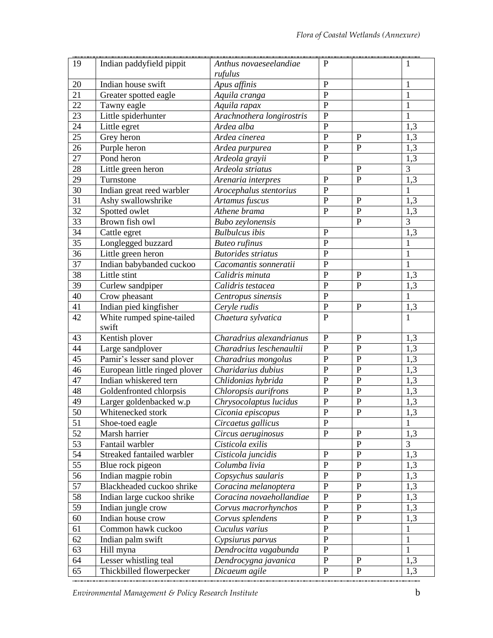| 19                    | Indian paddyfield pippit                               | Anthus novaeseelandiae<br>rufulus | $\mathbf{P}$                  |                                  | $\mathbf{1}$                         |
|-----------------------|--------------------------------------------------------|-----------------------------------|-------------------------------|----------------------------------|--------------------------------------|
| 20                    | Indian house swift                                     | Apus affinis                      | ${\bf P}$                     |                                  | 1                                    |
| 21                    | Greater spotted eagle                                  | Aquila cranga                     | $\mathbf{P}$                  |                                  | $\mathbf{1}$                         |
| $\overline{22}$       | Tawny eagle                                            | Aquila rapax                      | $\mathbf{P}$                  |                                  | $\mathbf{1}$                         |
| 23                    | Little spiderhunter                                    | Arachnothera longirostris         | $\mathbf{P}$                  |                                  | $\mathbf{1}$                         |
| 24                    | Little egret                                           | Ardea alba                        | $\mathbf{P}$                  |                                  | 1,3                                  |
| $\overline{25}$       | Grey heron                                             | Ardea cinerea                     | ${\bf P}$                     | $\mathbf{P}$                     | 1,3                                  |
| 26                    | Purple heron                                           | Ardea purpurea                    | $\mathbf{P}$                  | $\mathbf{P}$                     | $\overline{1,3}$                     |
| 27                    | Pond heron                                             | Ardeola grayii                    | $\mathbf{P}$                  |                                  | $1,\overline{3}$                     |
| 28                    | Little green heron                                     | Ardeola striatus                  |                               | $\mathbf{P}$                     | 3                                    |
| 29                    | Turnstone                                              | Arenaria interpres                | $\mathbf P$                   | $\mathbf{P}$                     | 1,3                                  |
| $\overline{30}$       | Indian great reed warbler                              | Arocephalus stentorius            | $\mathbf{P}$                  |                                  | $\mathbf{1}$                         |
| 31                    | Ashy swallowshrike                                     | Artamus fuscus                    | ${\bf P}$                     | $\mathbf{P}$                     | 1,3                                  |
| 32                    | Spotted owlet                                          | Athene brama                      | ${\bf P}$                     | $\overline{P}$                   | 1,3                                  |
| 33                    | Brown fish owl                                         | Bubo zeylonensis                  |                               | $\overline{P}$                   | $\overline{3}$                       |
| 34                    | Cattle egret                                           | <b>Bulbulcus</b> ibis             | ${\bf P}$                     |                                  | 1,3                                  |
| $\overline{35}$       | Longlegged buzzard                                     | <b>Buteo</b> rufinus              | $\overline{P}$                |                                  | $\mathbf{1}$                         |
| 36                    | Little green heron                                     | <b>Butorides</b> striatus         | $\overline{P}$                |                                  | $\mathbf{1}$                         |
| 37                    | Indian babybanded cuckoo                               | Cacomantis sonneratii             | $\mathbf{P}$                  |                                  | $\mathbf{1}$                         |
| 38                    | Little stint                                           | Calidris minuta                   | $\mathbf{P}$                  | $\mathbf{P}$                     | 1,3                                  |
| $\overline{39}$       | Curlew sandpiper                                       | Calidris testacea                 | $\mathbf{P}$                  | $\overline{P}$                   | 1,3                                  |
| 40                    | Crow pheasant                                          | Centropus sinensis                | $\mathbf{P}$                  |                                  | $\mathbf{1}$                         |
| 41                    | Indian pied kingfisher                                 | Ceryle rudis                      | ${\bf P}$                     | ${\bf P}$                        | 1,3                                  |
| 42                    | White rumped spine-tailed                              | Chaetura sylvatica                | $\mathbf{P}$                  |                                  | $\overline{1}$                       |
|                       | swift                                                  |                                   |                               |                                  |                                      |
| 43                    | Kentish plover                                         | Charadrius alexandrianus          | ${\bf P}$<br>${\bf P}$        | ${\bf P}$<br>$\overline{P}$      | 1,3                                  |
| 44<br>$\overline{45}$ | Large sandplover                                       | Charadrius leschenaultii          | ${\bf P}$                     | $\overline{P}$                   | 1,3                                  |
|                       | Pamir's lesser sand plover                             | Charadrius mongolus               | $\mathbf{P}$                  | $\overline{P}$                   | 1,3                                  |
| 46                    | European little ringed plover<br>Indian whiskered tern | Charidarius dubius                | $\mathbf{P}$                  | $\overline{P}$                   | 1,3                                  |
| 47                    |                                                        | Chlidonias hybrida                |                               |                                  | $\overline{1,3}$                     |
| 48                    | Goldenfronted chlorpsis                                | Chloropsis aurifrons              | $\mathbf{P}$<br>${\bf P}$     | $\mathbf{P}$<br>$\overline{P}$   | 1,3                                  |
| 49                    | Larger goldenbacked w.p                                | Chrysocolaptus lucidus            | $\overline{P}$                | $\overline{P}$                   | $\overline{1,3}$<br>$\overline{1,3}$ |
| 50                    | Whitenecked stork                                      | Ciconia episcopus                 | $\mathbf{P}$                  |                                  | $\mathbf{1}$                         |
| 51                    | Shoe-toed eagle                                        | Circaetus gallicus                |                               |                                  |                                      |
| 52                    | Marsh harrier                                          | Circus aeruginosus                | $\mathbf{P}$                  | $\mathbf P$<br>$\overline{P}$    | 1,3                                  |
| 53                    | Fantail warbler                                        | Cisticola exilis                  |                               |                                  | 3                                    |
| $\overline{54}$       | Streaked fantailed warbler                             | Cisticola juncidis                | $\mathbf P$<br>$\overline{P}$ | $\overline{P}$<br>$\overline{P}$ | 1,3                                  |
| 55                    | Blue rock pigeon                                       | Columba livia                     |                               |                                  | 1,3                                  |
| 56                    | Indian magpie robin                                    | Copsychus saularis                | ${\bf P}$                     | $\mathbf P$<br>$\mathbf P$       | 1,3                                  |
| 57                    | Blackheaded cuckoo shrike                              | Coracina melanoptera              | $\mathbf P$                   |                                  | 1,3                                  |
| $\overline{58}$       | Indian large cuckoo shrike                             | Coracina novaehollandiae          | $\mathbf P$                   | $\overline{P}$<br>$\overline{P}$ | $\overline{1,3}$                     |
| $\overline{59}$       | Indian jungle crow                                     | Corvus macrorhynchos              | $\mathbf{P}$                  | $\overline{P}$                   | 1,3                                  |
| 60                    | Indian house crow                                      | Corvus splendens                  | $\mathbf P$                   |                                  | 1,3                                  |
| 61                    | Common hawk cuckoo                                     | Cuculus varius                    | ${\bf P}$                     |                                  | $\mathbf{1}$                         |
| 62                    | Indian palm swift                                      | Cypsiurus parvus                  | $\mathbf{P}$                  |                                  | $\mathbf{1}$                         |
| 63                    | Hill myna                                              | Dendrocitta vagabunda             | $\mathbf{P}$                  |                                  | $\mathbf{1}$                         |
| 64                    | Lesser whistling teal                                  | Dendrocygna javanica              | $\mathbf{P}$<br>$\mathbf{P}$  | $\mathbf{P}$<br>$\mathbf{P}$     | 1,3                                  |
| 65                    | Thickbilled flowerpecker                               | Dicaeum agile                     |                               |                                  | 1,3                                  |

*Environmental Management & Policy Research Institute* b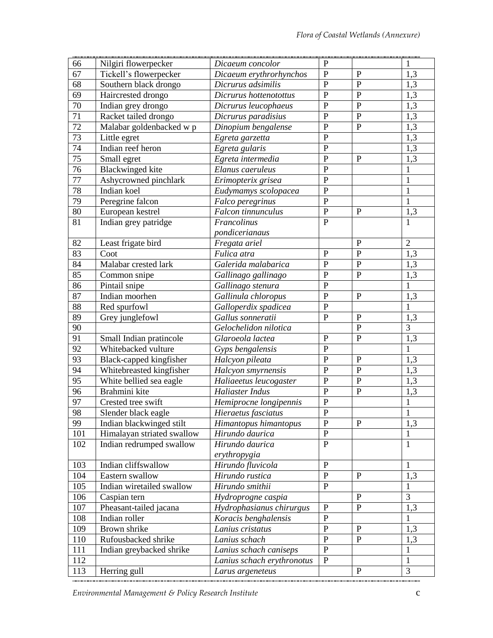| 66              | Nilgiri flowerpecker       | Dicaeum concolor           | $\mathbf{P}$   |                | $\mathbf{1}$     |
|-----------------|----------------------------|----------------------------|----------------|----------------|------------------|
| 67              | Tickell's flowerpecker     | Dicaeum erythrorhynchos    | $\mathbf{P}$   | $\mathbf{P}$   | 1,3              |
| 68              | Southern black drongo      | Dicrurus adsimilis         | ${\bf P}$      | $\mathbf{P}$   | 1,3              |
| 69              | Haircrested drongo         | Dicrurus hottenotottus     | ${\bf P}$      | $\mathbf{P}$   | 1,3              |
| 70              | Indian grey drongo         | Dicrurus leucophaeus       | $\mathbf P$    | $\overline{P}$ | 1,3              |
| $\overline{71}$ | Racket tailed drongo       | Dicrurus paradisius        | $\mathbf P$    | $\mathbf{P}$   | $\overline{1,3}$ |
| $\overline{72}$ | Malabar goldenbacked w p   | Dinopium bengalense        | $\mathbf P$    | $\mathbf{P}$   | 1,3              |
| 73              | Little egret               | Egreta garzetta            | $\mathbf P$    |                | $\overline{1,3}$ |
| 74              | Indian reef heron          | Egreta gularis             | ${\bf P}$      |                | 1,3              |
| $\overline{75}$ | Small egret                | Egreta intermedia          | $\mathbf P$    | $\mathbf{P}$   | 1,3              |
| 76              | <b>Blackwinged kite</b>    | Elanus caeruleus           | $\mathbf{P}$   |                | 1                |
| 77              | Ashycrowned pinchlark      | Erimopterix grisea         | $\mathbf{P}$   |                | $\mathbf{1}$     |
| 78              | Indian koel                | Eudymamys scolopacea       | $\mathbf P$    |                | $\mathbf{1}$     |
| 79              | Peregrine falcon           | Falco peregrinus           | $\mathbf{P}$   |                | $\mathbf{1}$     |
| 80              | European kestrel           | Falcon tinnunculus         | ${\bf P}$      | $\mathbf{P}$   | 1,3              |
| 81              | Indian grey patridge       | Francolinus                | $\mathbf{P}$   |                | 1                |
|                 |                            | pondicerianaus             |                |                |                  |
| 82              | Least frigate bird         | Fregata ariel              |                | $\mathbf{P}$   | $\overline{2}$   |
| 83              | Coot                       | Fulica atra                | $\mathbf P$    | $\mathbf{P}$   | 1,3              |
| 84              | Malabar crested lark       | Galerida malabarica        | $\mathbf{P}$   | $\mathbf{P}$   | $\overline{1,3}$ |
| 85              | Common snipe               | Gallinago gallinago        | $\mathbf P$    | $\mathbf{P}$   | 1,3              |
| 86              | Pintail snipe              | Gallinago stenura          | $\mathbf{P}$   |                | $\mathbf{1}$     |
| 87              | Indian moorhen             | Gallinula chloropus        | ${\bf P}$      | $\mathbf{P}$   | 1,3              |
| 88              | Red spurfowl               | Galloperdix spadicea       | $\mathbf P$    |                | $\mathbf{1}$     |
| 89              | Grey junglefowl            | Gallus sonneratii          | $\mathbf{P}$   | $\mathbf{P}$   | 1,3              |
| 90              |                            | Gelochelidon nilotica      |                | $\overline{P}$ | $\overline{3}$   |
| $\overline{91}$ | Small Indian pratincole    | Glaroeola lactea           | ${\bf P}$      | $\mathbf{P}$   | 1,3              |
| 92              | Whitebacked vulture        | Gyps bengalensis           | $\mathbf{P}$   |                | $\mathbf{1}$     |
| 93              | Black-capped kingfisher    | Halcyon pileata            | $\mathbf P$    | ${\bf P}$      | 1,3              |
| 94              | Whitebreasted kingfisher   | Halcyon smyrnensis         | $\mathbf{P}$   | $\mathbf{P}$   | 1,3              |
| 95              | White bellied sea eagle    | Haliaeetus leucogaster     | $\mathbf P$    | $\mathbf{P}$   | 1,3              |
| 96              | Brahmini kite              | Haliaster Indus            | $\mathbf P$    | $\mathbf{P}$   | 1,3              |
| 97              | Crested tree swift         | Hemiprocne longipennis     | $\mathbf P$    |                | $\mathbf{1}$     |
| 98              | Slender black eagle        | Hieraetus fasciatus        | $\overline{P}$ |                | 1                |
| 99              | Indian blackwinged stilt   | Himantopus himantopus      | $\mathbf{P}$   | ${\bf P}$      | 1,3              |
| 101             | Himalayan striated swallow | Hirundo daurica            | $\, {\bf P}$   |                | 1                |
| 102             | Indian redrumped swallow   | Hirundo daurica            | $\mathbf{P}$   |                | $\mathbf{1}$     |
|                 |                            | erythropygia               |                |                |                  |
| 103             | Indian cliffswallow        | Hirundo fluvicola          | ${\bf P}$      |                | $\mathbf{1}$     |
| 104             | Eastern swallow            | Hirundo rustica            | ${\bf P}$      | P              | 1,3              |
| 105             | Indian wiretailed swallow  | Hirundo smithii            | ${\bf P}$      |                | 1                |
| 106             | Caspian tern               | Hydroprogne caspia         |                | $\mathbf{P}$   | 3                |
| 107             | Pheasant-tailed jacana     | Hydrophasianus chirurgus   | ${\bf P}$      | P              | 1,3              |
| 108             | Indian roller              | Koracis benghalensis       | $\mathbf{P}$   |                | $\mathbf{1}$     |
| 109             | Brown shrike               | Lanius cristatus           | ${\bf P}$      | ${\bf P}$      | 1,3              |
| 110             | Rufousbacked shrike        | Lanius schach              | ${\bf P}$      | $\mathbf{P}$   | 1,3              |
| 111             | Indian greybacked shrike   | Lanius schach caniseps     | ${\bf P}$      |                | 1                |
| 112             |                            | Lanius schach erythronotus | ${\bf P}$      |                | $\mathbf{1}$     |
| 113             | Herring gull               | Larus argeneteus           |                | ${\bf P}$      | 3                |

*Environmental Management & Policy Research Institute* c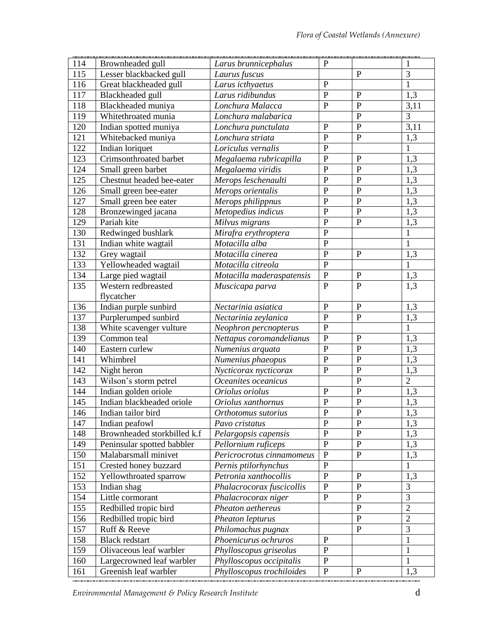| 114 | Brownheaded gull            | Larus brunnicephalus      | $\mathbf{P}$   |                | 1              |
|-----|-----------------------------|---------------------------|----------------|----------------|----------------|
| 115 | Lesser blackbacked gull     | Laurus fuscus             |                | $\mathbf{P}$   | $\overline{3}$ |
| 116 | Great blackheaded gull      | Larus icthyaetus          | $\mathbf{P}$   |                | $\mathbf{1}$   |
| 117 | Blackheaded gull            | Larus ridibundus          | $\overline{P}$ | $\mathbf{P}$   | 1,3            |
| 118 | Blackheaded muniya          | Lonchura Malacca          | $\, {\bf P}$   | $\overline{P}$ | 3,11           |
| 119 | Whitethroated munia         | Lonchura malabarica       |                | $\mathbf P$    | $\overline{3}$ |
| 120 | Indian spotted muniya       | Lonchura punctulata       | ${\bf P}$      | $\overline{P}$ | 3,11           |
| 121 | Whitebacked muniya          | Lonchura striata          | $\mathbf{P}$   | $\overline{P}$ | 1,3            |
| 122 | Indian loriquet             | Loriculus vernalis        | $\mathbf{P}$   |                | $\mathbf{1}$   |
| 123 | Crimsonthroated barbet      | Megalaema rubricapilla    | $\mathbf P$    | $\overline{P}$ | 1,3            |
| 124 | Small green barbet          | Megalaema viridis         | $\mathbf{P}$   | $\overline{P}$ | 1,3            |
| 125 | Chestnut headed bee-eater   | Merops leschenaulti       | $\mathbf{P}$   | $\overline{P}$ | 1,3            |
| 126 | Small green bee-eater       | Merops orientalis         | ${\bf P}$      | $\mathbf P$    | 1,3            |
| 127 | Small green bee eater       | Merops philippnus         | $\overline{P}$ | $\mathbf P$    | 1,3            |
| 128 | Bronzewinged jacana         | Metopedius indicus        | $\mathbf{P}$   | $\overline{P}$ | 1,3            |
| 129 | Pariah kite                 | Milvus migrans            | $\mathbf{P}$   | $\mathbf{P}$   | 1,3            |
| 130 | Redwinged bushlark          | Mirafra erythroptera      | $\mathbf P$    |                | $\mathbf{1}$   |
| 131 | Indian white wagtail        | Motacilla alba            | $\mathbf P$    |                | $\mathbf{1}$   |
| 132 | Grey wagtail                | Motacilla cinerea         | $\mathbf P$    | $\mathbf P$    | 1,3            |
| 133 | Yellowheaded wagtail        | Motacilla citreola        | $\mathbf P$    |                | $\mathbf{1}$   |
| 134 | Large pied wagtail          | Motacilla maderaspatensis | $\, {\bf P}$   | $\mathbf P$    | 1,3            |
| 135 | Western redbreasted         | Muscicapa parva           | $\mathbf{P}$   | $\overline{P}$ | 1,3            |
|     | flycatcher                  |                           |                |                |                |
| 136 | Indian purple sunbird       | Nectarinia asiatica       | $\mathbf{P}$   | $\mathbf P$    | 1,3            |
| 137 | Purplerumped sunbird        | Nectarinia zeylanica      | $\mathbf{P}$   | $\mathbf{P}$   | 1,3            |
| 138 | White scavenger vulture     | Neophron percnopterus     | $\mathbf P$    |                | $\mathbf{1}$   |
| 139 | Common teal                 | Nettapus coromandelianus  | $\mathbf P$    | $\mathbf{P}$   | 1,3            |
| 140 | Eastern curlew              | Numenius arquata          | $\mathbf{P}$   | $\overline{P}$ | 1,3            |
| 141 | Whimbrel                    | Numenius phaeopus         | $\mathbf{P}$   | $\mathbf P$    | 1,3            |
| 142 | Night heron                 | Nycticorax nycticorax     | $\mathbf{P}$   | $\overline{P}$ | 1,3            |
| 143 | Wilson's storm petrel       | Oceanites oceanicus       |                | $\overline{P}$ | $\overline{2}$ |
| 144 | Indian golden oriole        | Oriolus oriolus           | $\mathbf{P}$   | $\mathbf P$    | 1,3            |
| 145 | Indian blackheaded oriole   | Oriolus xanthornus        | $\mathbf P$    | $\mathbf P$    | 1,3            |
| 146 | Indian tailor bird          | Orthotomus sutorius       | $\overline{P}$ | $\overline{P}$ | 1,3            |
| 147 | Indian peafowl              | Pavo cristatus            | $\mathbf{P}$   | $\mathbf P$    | 1,3            |
| 148 | Brownheaded storkbilled k.f | Pelargopsis capensis      | $\mathbf{P}$   | $\mathbf{P}$   | 1,3            |
| 149 | Peninsular spotted babbler  | Pellornium ruficeps       | $\mathbf P$    | $\overline{P}$ | 1,3            |
| 150 | Malabarsmall minivet        | Pericrocrotus cinnamomeus | $\mathbf{P}$   | $\overline{P}$ | 1,3            |
| 151 | Crested honey buzzard       | Pernis ptilorhynchus      | ${\bf P}$      |                | 1              |
| 152 | Yellowthroated sparrow      | Petronia xanthocollis     | $\mathbf{P}$   | $\mathbf{P}$   | 1,3            |
| 153 | Indian shag                 | Phalacrocorax fuscicollis | $\mathbf{P}$   | $\overline{P}$ | 3              |
| 154 | Little cormorant            | Phalacrocorax niger       | $\mathbf{P}$   | $\mathbf P$    | 3              |
| 155 | Redbilled tropic bird       | Pheaton aethereus         |                | $\overline{P}$ | $\overline{2}$ |
| 156 | Redbilled tropic bird       | Pheaton lepturus          |                | $\mathbf P$    | $\overline{2}$ |
| 157 | Ruff & Reeve                | Philomachus pugnax        |                | $\mathbf{P}$   | $\overline{3}$ |
| 158 | <b>Black redstart</b>       | Phoenicurus ochruros      | $\mathbf P$    |                | $\mathbf{1}$   |
| 159 | Olivaceous leaf warbler     | Phylloscopus griseolus    | $\mathbf{P}$   |                | $\mathbf{1}$   |
| 160 | Largecrowned leaf warbler   | Phylloscopus occipitalis  | $\mathbf P$    |                | $\mathbf{1}$   |
| 161 | Greenish leaf warbler       | Phylloscopus trochiloides | ${\bf P}$      | $\mathbf P$    | 1,3            |

*Environmental Management & Policy Research Institute* d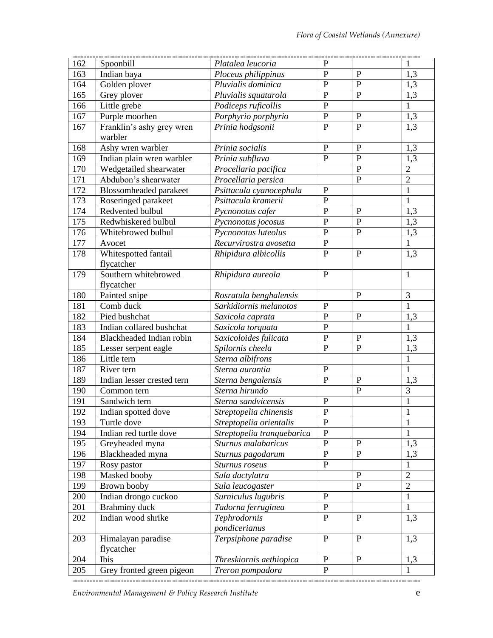| 162 | Spoonbill                     | Platalea leucoria          | $\mathbf{P}$   |                | 1              |
|-----|-------------------------------|----------------------------|----------------|----------------|----------------|
| 163 | Indian baya                   | Ploceus philippinus        | $\mathbf{P}$   | $\overline{P}$ | 1,3            |
| 164 | Golden plover                 | Pluvialis dominica         | $\mathbf P$    | $\mathbf P$    | 1,3            |
| 165 | Grey plover                   | Pluvialis squatarola       | $\mathbf{P}$   | $\mathbf P$    | 1,3            |
| 166 | Little grebe                  | Podiceps ruficollis        | $\mathbf P$    |                | $\mathbf{1}$   |
| 167 | Purple moorhen                | Porphyrio porphyrio        | $\, {\bf P}$   | $\mathbf P$    | 1,3            |
| 167 | Franklin's ashy grey wren     | Prinia hodgsonii           | $\overline{P}$ | $\overline{P}$ | 1,3            |
|     | warbler                       |                            |                |                |                |
| 168 | Ashy wren warbler             | Prinia socialis            | $\mathbf{P}$   | $\mathbf P$    | 1,3            |
| 169 | Indian plain wren warbler     | Prinia subflava            | $\mathbf P$    | $\mathbf P$    | 1,3            |
| 170 | Wedgetailed shearwater        | Procellaria pacifica       |                | $\overline{P}$ | $\overline{2}$ |
| 171 | Abdubon's shearwater          | Procellaria persica        |                | $\mathbf{P}$   | $\overline{2}$ |
| 172 | <b>Blossomheaded</b> parakeet | Psittacula cyanocephala    | $\mathbf P$    |                | $\mathbf{1}$   |
| 173 | Roseringed parakeet           | Psittacula kramerii        | $\mathbf{P}$   |                | $\mathbf{1}$   |
| 174 | Redvented bulbul              | Pycnonotus cafer           | $\mathbf P$    | $\mathbf{P}$   | 1,3            |
| 175 | Redwhiskered bulbul           | Pycnonotus jocosus         | $\mathbf{P}$   | $\overline{P}$ | 1,3            |
| 176 | Whitebrowed bulbul            | Pycnonotus luteolus        | $\mathbf P$    | $\mathbf{P}$   | 1,3            |
| 177 | Avocet                        | Recurvirostra avosetta     | $\mathbf P$    |                | $\overline{1}$ |
| 178 | Whitespotted fantail          | Rhipidura albicollis       | $\mathbf P$    | $\overline{P}$ | 1,3            |
|     | flycatcher                    |                            |                |                |                |
| 179 | Southern whitebrowed          | Rhipidura aureola          | $\mathbf{P}$   |                | $\mathbf{1}$   |
|     | flycatcher                    |                            |                |                |                |
| 180 | Painted snipe                 | Rosratula benghalensis     |                | $\mathbf{P}$   | 3              |
| 181 | Comb duck                     | Sarkidiornis melanotos     | $\mathbf{P}$   |                | $\mathbf 1$    |
| 182 | Pied bushchat                 | Saxicola caprata           | $\overline{P}$ | $\mathbf{P}$   | 1,3            |
| 183 | Indian collared bushchat      | Saxicola torquata          | $\mathbf P$    |                | $\mathbf{1}$   |
| 184 | Blackheaded Indian robin      | Saxicoloides fulicata      | $\mathbf{P}$   | $\mathbf P$    | 1,3            |
| 185 | Lesser serpent eagle          | Spilornis cheela           | $\mathbf{P}$   | $\mathbf{P}$   | 1,3            |
| 186 | Little tern                   | Sterna albifrons           |                |                | $\mathbf{1}$   |
| 187 | River tern                    | Sterna aurantia            | $\mathbf P$    |                | $\mathbf{1}$   |
| 189 | Indian lesser crested tern    | Sterna bengalensis         | $\mathbf P$    | $\mathbf P$    | 1,3            |
| 190 | Common tern                   | Sterna hirundo             |                | $\overline{P}$ | $\overline{3}$ |
| 191 | Sandwich tern                 | Sterna sandvicensis        | $\mathbf P$    |                | $\mathbf{1}$   |
| 192 | Indian spotted dove           | Streptopelia chinensis     | $\mathbf{P}$   |                | $\mathbf{1}$   |
| 193 | Turtle dove                   | Streptopelia orientalis    | $\mathbf P$    |                | 1              |
| 194 | Indian red turtle dove        | Streptopelia tranquebarica | $\mathbf{P}$   |                | 1              |
| 195 | Greyheaded myna               | Sturnus malabaricus        | $\mathbf{P}$   | $\mathbf{P}$   | 1,3            |
| 196 | Blackheaded myna              | Sturnus pagodarum          | $\mathbf{P}$   | $\mathbf{P}$   | 1,3            |
| 197 | Rosy pastor                   | Sturnus roseus             | $\mathbf P$    |                | 1              |
| 198 | Masked booby                  | Sula dactylatra            |                | $\overline{P}$ | $\overline{2}$ |
| 199 | Brown booby                   | Sula leucogaster           |                | $\mathbf{P}$   | $\overline{2}$ |
| 200 | Indian drongo cuckoo          | Surniculus lugubris        | $\mathbf P$    |                | $\mathbf{1}$   |
| 201 | Brahminy duck                 | Tadorna ferruginea         | $\, {\bf P}$   |                | $\mathbf{1}$   |
| 202 | Indian wood shrike            | Tephrodornis               | $\mathbf{P}$   | $\mathbf{P}$   | 1,3            |
|     |                               | pondicerianus              |                |                |                |
| 203 | Himalayan paradise            | Terpsiphone paradise       | $\mathbf{P}$   | $\mathbf{P}$   | 1,3            |
|     | flycatcher                    |                            |                |                |                |
| 204 | Ibis                          | Threskiornis aethiopica    | $\, {\bf P}$   | ${\bf P}$      | 1,3            |
| 205 | Grey fronted green pigeon     | Treron pompadora           | $\mathbf P$    |                | 1              |
|     |                               |                            |                |                |                |

*Environmental Management & Policy Research Institute* entitled the second temperature of  $e$